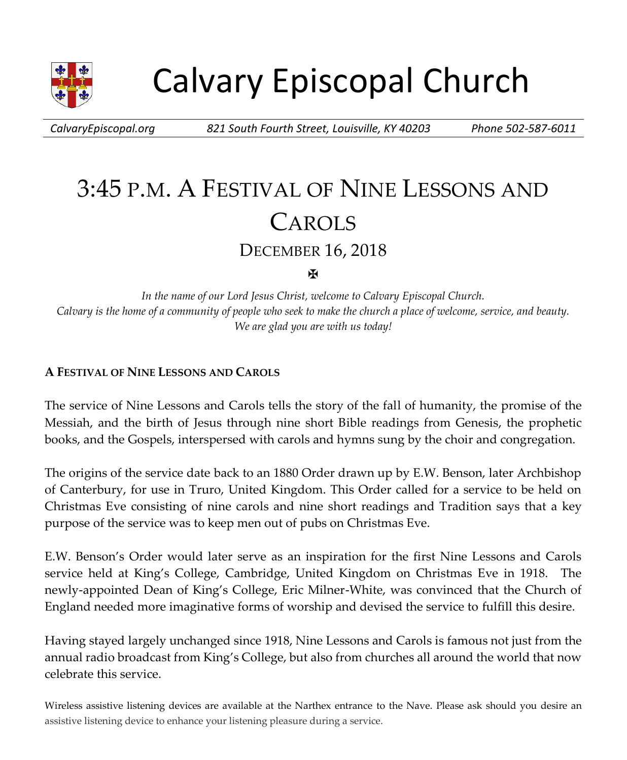

# Calvary Episcopal Church

*CalvaryEpiscopal.org 821 South Fourth Street, Louisville, KY 40203 Phone 502-587-6011*

## 3:45 P.M. A FESTIVAL OF NINE LESSONS AND **CAROLS** DECEMBER 16, 2018

¥.

*In the name of our Lord Jesus Christ, welcome to Calvary Episcopal Church. Calvary is the home of a community of people who seek to make the church a place of welcome, service, and beauty. We are glad you are with us today!*

#### **A FESTIVAL OF NINE LESSONS AND CAROLS**

The service of Nine Lessons and Carols tells the story of the fall of humanity, the promise of the Messiah, and the birth of Jesus through nine short Bible readings from Genesis, the prophetic books, and the Gospels, interspersed with carols and hymns sung by the choir and congregation.

The origins of the service date back to an 1880 Order drawn up by E.W. Benson, later Archbishop of Canterbury, for use in Truro, United Kingdom. This Order called for a service to be held on Christmas Eve consisting of nine carols and nine short readings and Tradition says that a key purpose of the service was to keep men out of pubs on Christmas Eve.

E.W. Benson's Order would later serve as an inspiration for the first Nine Lessons and Carols service held at King's College, Cambridge, United Kingdom on Christmas Eve in 1918. The newly-appointed Dean of King's College, Eric Milner-White, was convinced that the Church of England needed more imaginative forms of worship and devised the service to fulfill this desire.

Having stayed largely unchanged since 1918, Nine Lessons and Carols is famous not just from the annual radio broadcast from King's College, but also from churches all around the world that now celebrate this service.

Wireless assistive listening devices are available at the Narthex entrance to the Nave. Please ask should you desire an assistive listening device to enhance your listening pleasure during a service.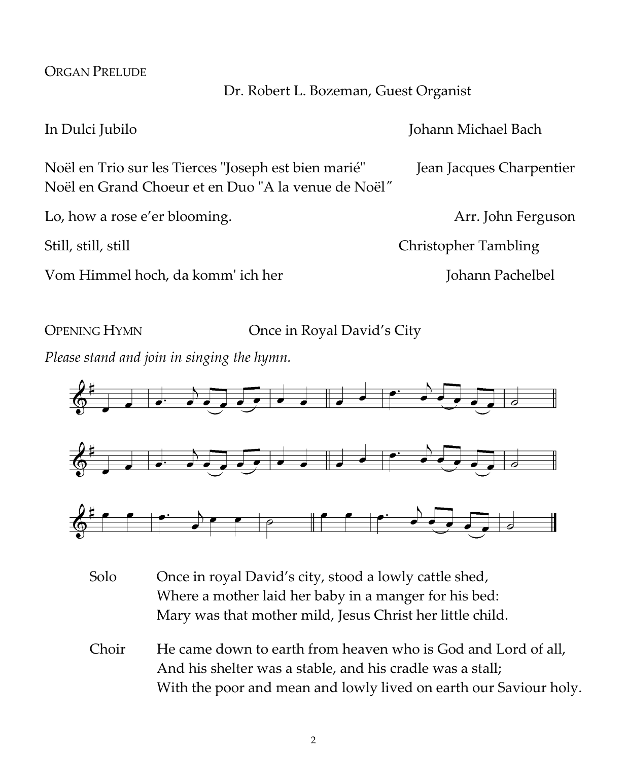ORGAN PRELUDE

Dr. Robert L. Bozeman, Guest Organist

| In Dulci Jubilo                                                                                             | Johann Michael Bach         |
|-------------------------------------------------------------------------------------------------------------|-----------------------------|
| Noël en Trio sur les Tierces "Joseph est bien marié"<br>Noël en Grand Choeur et en Duo "A la venue de Noël" | Jean Jacques Charpentier    |
| Lo, how a rose e'er blooming.                                                                               | Arr. John Ferguson          |
| Still, still, still                                                                                         | <b>Christopher Tambling</b> |
| Vom Himmel hoch, da komm' ich her                                                                           | Johann Pachelbel            |

OPENING HYMN Once in Royal David's City

*Please stand and join in singing the hymn.*



- Solo Once in royal David's city, stood a lowly cattle shed, Where a mother laid her baby in a manger for his bed: Mary was that mother mild, Jesus Christ her little child.
- Choir He came down to earth from heaven who is God and Lord of all, And his shelter was a stable, and his cradle was a stall; With the poor and mean and lowly lived on earth our Saviour holy.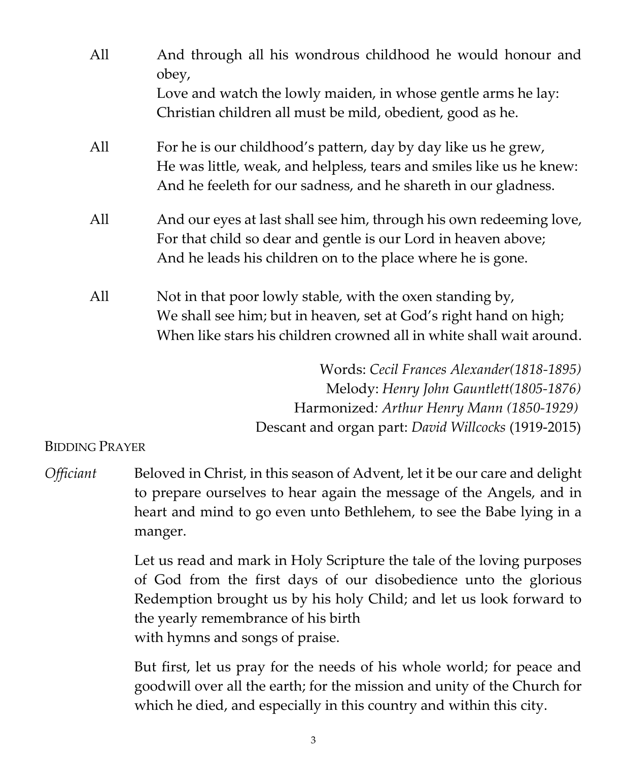| All | And through all his wondrous childhood he would honour and<br>obey,<br>Love and watch the lowly maiden, in whose gentle arms he lay:<br>Christian children all must be mild, obedient, good as he.        |
|-----|-----------------------------------------------------------------------------------------------------------------------------------------------------------------------------------------------------------|
| All | For he is our childhood's pattern, day by day like us he grew,<br>He was little, weak, and helpless, tears and smiles like us he knew:<br>And he feeleth for our sadness, and he shareth in our gladness. |
| All | And our eyes at last shall see him, through his own redeeming love,<br>For that child so dear and gentle is our Lord in heaven above;<br>And he leads his children on to the place where he is gone.      |
| All | Not in that poor lowly stable, with the oxen standing by,<br>We shall see him; but in heaven, set at God's right hand on high;<br>When like stars his children crowned all in white shall wait around.    |
|     | Words: Cecil Frances Alexander (1818-1895)<br>Melody: Henry John Gauntlett(1805-1876)<br>Harmonized: Arthur Henry Mann (1850-1929)<br>Descant and organ part: David Willcocks (1919-2015)                 |

#### BIDDING PRAYER

*Officiant* Beloved in Christ, in this season of Advent, let it be our care and delight to prepare ourselves to hear again the message of the Angels, and in heart and mind to go even unto Bethlehem, to see the Babe lying in a manger.

> Let us read and mark in Holy Scripture the tale of the loving purposes of God from the first days of our disobedience unto the glorious Redemption brought us by his holy Child; and let us look forward to the yearly remembrance of his birth with hymns and songs of praise.

> But first, let us pray for the needs of his whole world; for peace and goodwill over all the earth; for the mission and unity of the Church for which he died, and especially in this country and within this city.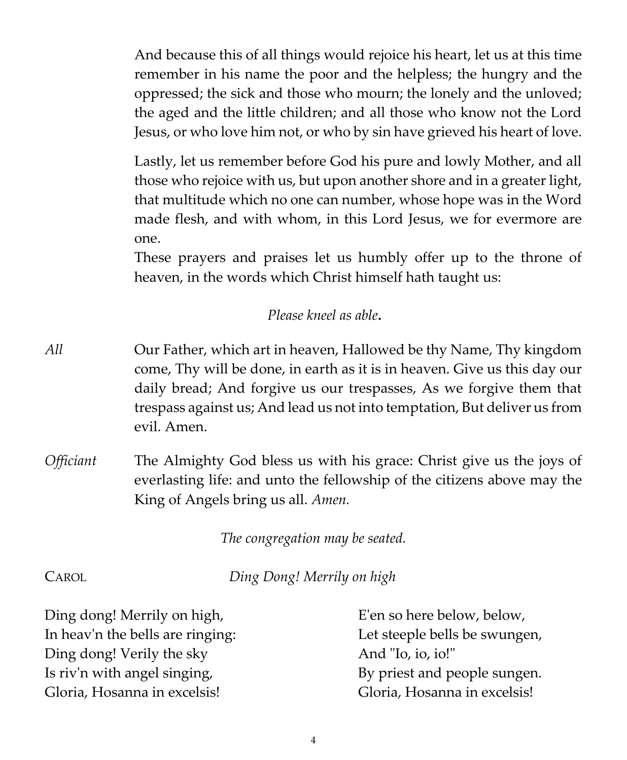And because this of all things would rejoice his heart, let us at this time remember in his name the poor and the helpless; the hungry and the oppressed; the sick and those who mourn; the lonely and the unloved; the aged and the little children; and all those who know not the Lord Jesus, or who love him not, or who by sin have grieved his heart of love.

Lastly, let us remember before God his pure and lowly Mother, and all those who rejoice with us, but upon another shore and in a greater light, that multitude which no one can number, whose hope was in the Word made flesh, and with whom, in this Lord Jesus, we for evermore are one.

These prayers and praises let us humbly offer up to the throne of heaven, in the words which Christ himself hath taught us:

#### *Please kneel as able***.**

- *All* Our Father, which art in heaven, Hallowed be thy Name, Thy kingdom come, Thy will be done, in earth as it is in heaven. Give us this day our daily bread; And forgive us our trespasses, As we forgive them that trespass against us; And lead us not into temptation, But deliver us from evil. Amen.
- *Officiant* The Almighty God bless us with his grace: Christ give us the joys of everlasting life: and unto the fellowship of the citizens above may the King of Angels bring us all. *Amen.*

*The congregation may be seated.*

CAROL *Ding Dong! Merrily on high*

Ding dong! Merrily on high, In heav'n the bells are ringing: Ding dong! Verily the sky Is riv'n with angel singing, Gloria, Hosanna in excelsis!

E'en so here below, below, Let steeple bells be swungen, And "Io, io, io!" By priest and people sungen. Gloria, Hosanna in excelsis!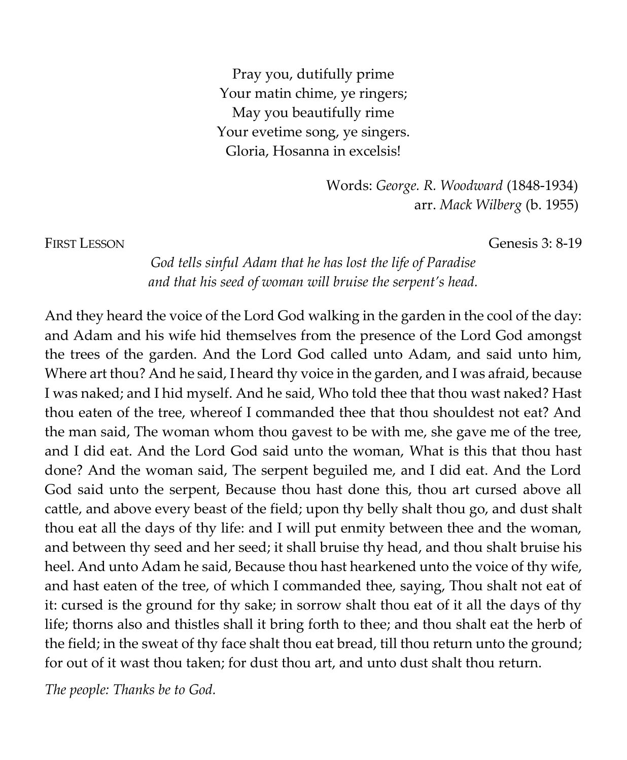Pray you, dutifully prime Your matin chime, ye ringers; May you beautifully rime Your evetime song, ye singers. Gloria, Hosanna in excelsis!

> Words: *George. R. Woodward* (1848-1934) arr. *Mack Wilberg* (b. 1955)

FIRST LESSON Genesis 3: 8-19

#### *God tells sinful Adam that he has lost the life of Paradise and that his seed of woman will bruise the serpent's head.*

And they heard the voice of the Lord God walking in the garden in the cool of the day: and Adam and his wife hid themselves from the presence of the Lord God amongst the trees of the garden. And the Lord God called unto Adam, and said unto him, Where art thou? And he said, I heard thy voice in the garden, and I was afraid, because I was naked; and I hid myself. And he said, Who told thee that thou wast naked? Hast thou eaten of the tree, whereof I commanded thee that thou shouldest not eat? And the man said, The woman whom thou gavest to be with me, she gave me of the tree, and I did eat. And the Lord God said unto the woman, What is this that thou hast done? And the woman said, The serpent beguiled me, and I did eat. And the Lord God said unto the serpent, Because thou hast done this, thou art cursed above all cattle, and above every beast of the field; upon thy belly shalt thou go, and dust shalt thou eat all the days of thy life: and I will put enmity between thee and the woman, and between thy seed and her seed; it shall bruise thy head, and thou shalt bruise his heel. And unto Adam he said, Because thou hast hearkened unto the voice of thy wife, and hast eaten of the tree, of which I commanded thee, saying, Thou shalt not eat of it: cursed is the ground for thy sake; in sorrow shalt thou eat of it all the days of thy life; thorns also and thistles shall it bring forth to thee; and thou shalt eat the herb of the field; in the sweat of thy face shalt thou eat bread, till thou return unto the ground; for out of it wast thou taken; for dust thou art, and unto dust shalt thou return.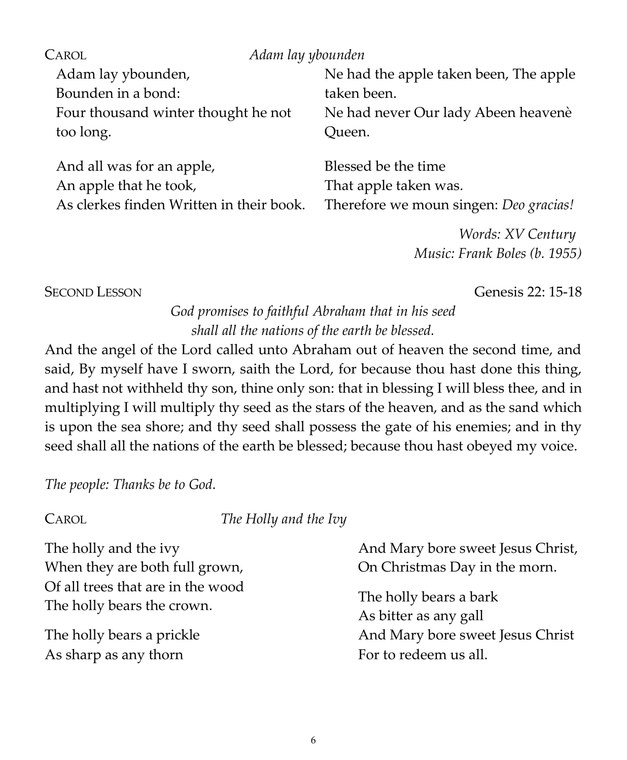6

When they are both full grown, Of all trees that are in the wood The holly bears the crown.

CAROL *The Holly and the Ivy* The holly and the ivy

The holly bears a prickle As sharp as any thorn

and hast not withheld thy son, thine only son: that in blessing I will bless thee, and in multiplying I will multiply thy seed as the stars of the heaven, and as the sand which is upon the sea shore; and thy seed shall possess the gate of his enemies; and in thy seed shall all the nations of the earth be blessed; because thou hast obeyed my voice.

*God promises to faithful Abraham that in his seed shall all the nations of the earth be blessed.* And the angel of the Lord called unto Abraham out of heaven the second time, and

said, By myself have I sworn, saith the Lord, for because thou hast done this thing,

Adam lay ybounden, Bounden in a bond: Four thousand winter thought he not too long. taken been. Queen.

> Blessed be the time That apple taken was. Therefore we moun singen: *Deo gracias!*

> > *Words: XV Century Music: Frank Boles (b. 1955)*

SECOND LESSON Genesis 22: 15-18

## *The people: Thanks be to God.*

CAROL *Adam lay ybounden*

Ne had the apple taken been, The apple

Ne had never Our lady Abeen heavenè

An apple that he took, As clerkes finden Written in their book.

And all was for an apple,

And Mary bore sweet Jesus Christ, On Christmas Day in the morn.

The holly bears a bark As bitter as any gall And Mary bore sweet Jesus Christ For to redeem us all.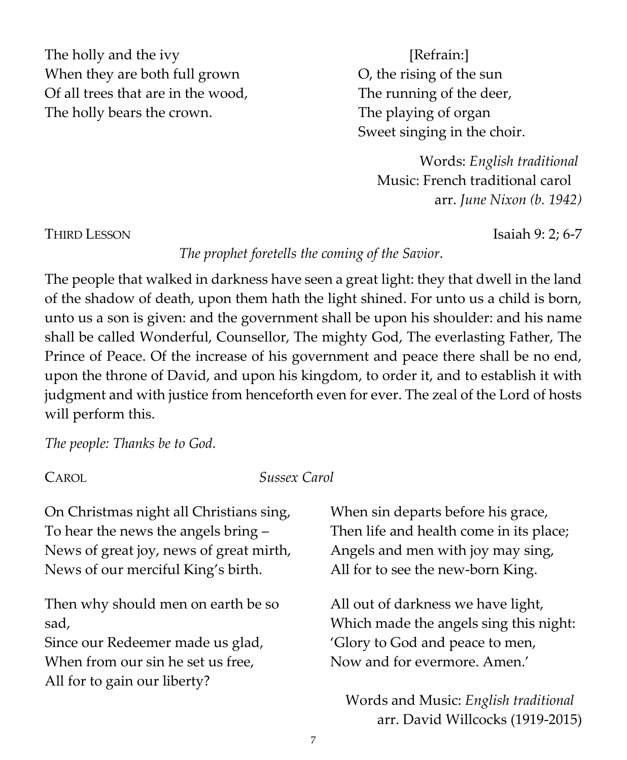The holly and the ivy **[Refrain:**] When they are both full grown  $O$ , the rising of the sun Of all trees that are in the wood, The running of the deer, The holly bears the crown. The playing of organ

Sweet singing in the choir.

 Words: *English traditional* Music: French traditional carol arr. *June Nixon (b. 1942)*

THIRD LESSON Isaiah 9: 2; 6-7

*The prophet foretells the coming of the Savior*.

The people that walked in darkness have seen a great light: they that dwell in the land of the shadow of death, upon them hath the light shined. For unto us a child is born, unto us a son is given: and the government shall be upon his shoulder: and his name shall be called Wonderful, Counsellor, The mighty God, The everlasting Father, The Prince of Peace. Of the increase of his government and peace there shall be no end, upon the throne of David, and upon his kingdom, to order it, and to establish it with judgment and with justice from henceforth even for ever. The zeal of the Lord of hosts will perform this.

*The people: Thanks be to God.*

CAROL *Sussex Carol*

On Christmas night all Christians sing, To hear the news the angels bring – News of great joy, news of great mirth, News of our merciful King's birth.

Then why should men on earth be so sad,

Since our Redeemer made us glad, When from our sin he set us free, All for to gain our liberty?

When sin departs before his grace, Then life and health come in its place; Angels and men with joy may sing, All for to see the new-born King.

All out of darkness we have light, Which made the angels sing this night: 'Glory to God and peace to men, Now and for evermore. Amen.'

 Words and Music: *English traditional* arr. David Willcocks (1919-2015)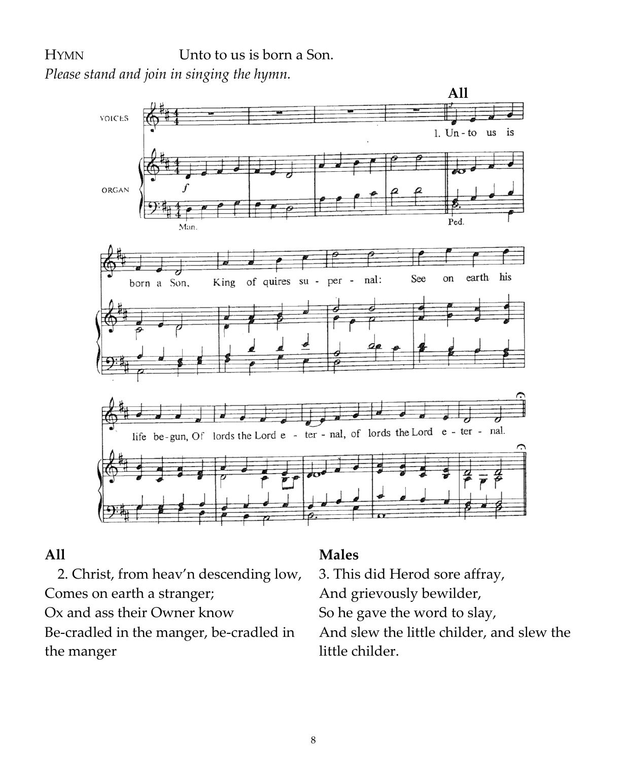### HYMN Unto to us is born a Son. *Please stand and join in singing the hymn.*



### **All**

 2. Christ, from heav'n descending low, Comes on earth a stranger; Ox and ass their Owner know Be-cradled in the manger, be-cradled in the manger little childer.

#### **Males**

3. This did Herod sore affray, And grievously bewilder, So he gave the word to slay, And slew the little childer, and slew the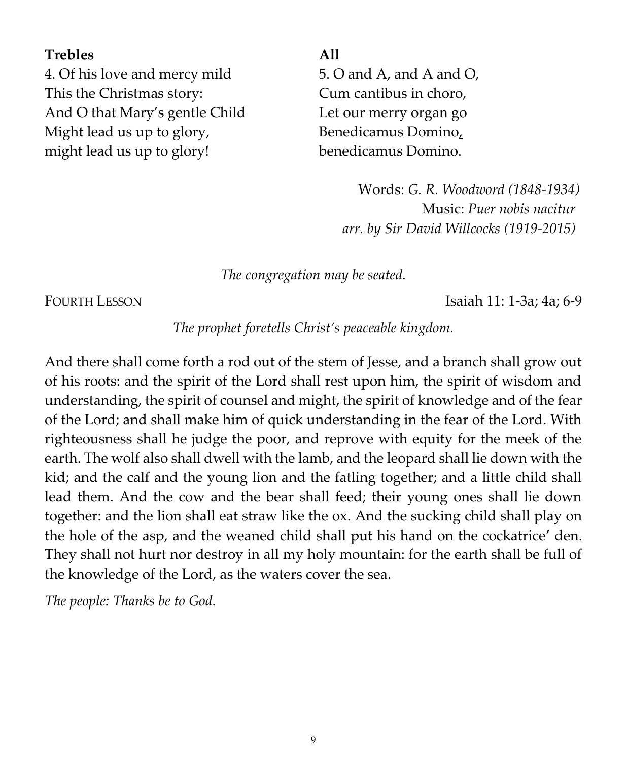**Trebles**

4. Of his love and mercy mild This the Christmas story: And O that Mary's gentle Child Might lead us up to glory, might lead us up to glory!

**All**  5. O and A, and A and O, Cum cantibus in choro, Let our merry organ go Benedicamus Domino, benedicamus Domino.

> Words: *G. R. Woodword (1848-1934)* Music: *Puer nobis nacitur arr. by Sir David Willcocks (1919-2015)*

*The congregation may be seated.*

FOURTH LESSON Isaiah 11: 1-3a; 4a; 6-9

*The prophet foretells Christ's peaceable kingdom.*

And there shall come forth a rod out of the stem of Jesse, and a branch shall grow out of his roots: and the spirit of the Lord shall rest upon him, the spirit of wisdom and understanding, the spirit of counsel and might, the spirit of knowledge and of the fear of the Lord; and shall make him of quick understanding in the fear of the Lord. With righteousness shall he judge the poor, and reprove with equity for the meek of the earth. The wolf also shall dwell with the lamb, and the leopard shall lie down with the kid; and the calf and the young lion and the fatling together; and a little child shall lead them. And the cow and the bear shall feed; their young ones shall lie down together: and the lion shall eat straw like the ox. And the sucking child shall play on the hole of the asp, and the weaned child shall put his hand on the cockatrice' den. They shall not hurt nor destroy in all my holy mountain: for the earth shall be full of the knowledge of the Lord, as the waters cover the sea.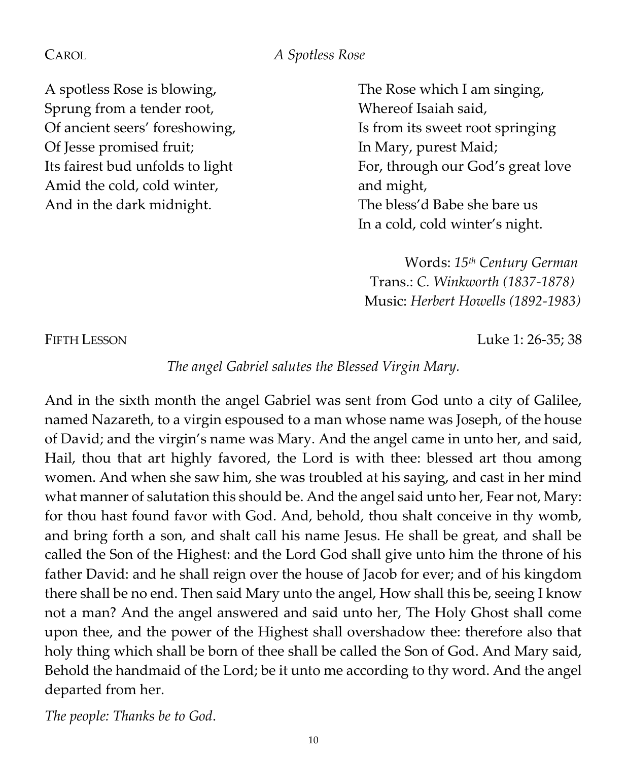#### CAROL *A Spotless Rose*

A spotless Rose is blowing, Sprung from a tender root, Of ancient seers' foreshowing, Of Jesse promised fruit; Its fairest bud unfolds to light Amid the cold, cold winter, And in the dark midnight.

The Rose which I am singing, Whereof Isaiah said, Is from its sweet root springing In Mary, purest Maid; For, through our God's great love and might, The bless'd Babe she bare us In a cold, cold winter's night.

 Words: *15th Century German* Trans.: *C. Winkworth (1837-1878)* Music: *Herbert Howells (1892-1983)*

FIFTH LESSON Luke 1: 26-35; 38

*The angel Gabriel salutes the Blessed Virgin Mary.*

And in the sixth month the angel Gabriel was sent from God unto a city of Galilee, named Nazareth, to a virgin espoused to a man whose name was Joseph, of the house of David; and the virgin's name was Mary. And the angel came in unto her, and said, Hail, thou that art highly favored, the Lord is with thee: blessed art thou among women. And when she saw him, she was troubled at his saying, and cast in her mind what manner of salutation this should be. And the angel said unto her, Fear not, Mary: for thou hast found favor with God. And, behold, thou shalt conceive in thy womb, and bring forth a son, and shalt call his name Jesus. He shall be great, and shall be called the Son of the Highest: and the Lord God shall give unto him the throne of his father David: and he shall reign over the house of Jacob for ever; and of his kingdom there shall be no end. Then said Mary unto the angel, How shall this be, seeing I know not a man? And the angel answered and said unto her, The Holy Ghost shall come upon thee, and the power of the Highest shall overshadow thee: therefore also that holy thing which shall be born of thee shall be called the Son of God. And Mary said, Behold the handmaid of the Lord; be it unto me according to thy word. And the angel departed from her.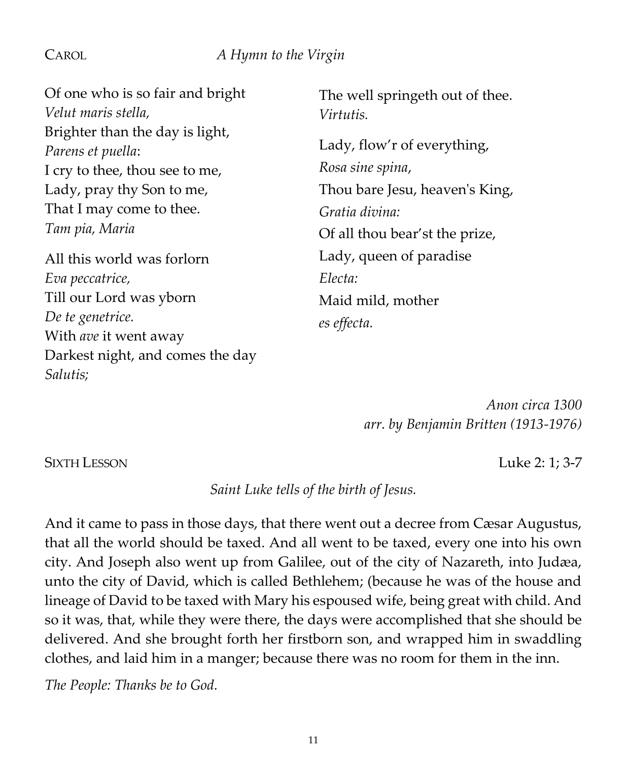Of one who is so fair and bright *Velut maris stella,* Brighter than the day is light, *Parens et puella*: I cry to thee, thou see to me, Lady, pray thy Son to me, That I may come to thee. *Tam pia, Maria*

All this world was forlorn *Eva peccatrice,* Till our Lord was yborn *De te genetrice.* With *ave* it went away Darkest night, and comes the day *Salutis;*

The well springeth out of thee. *Virtutis.*

Lady, flow'r of everything, *Rosa sine spina*, Thou bare Jesu, heaven's King, *Gratia divina:* Of all thou bear'st the prize, Lady, queen of paradise *Electa:* Maid mild, mother *es effecta.*

> *Anon circa 1300 arr. by Benjamin Britten (1913-1976)*

SIXTH LESSON Luke 2: 1; 3-7

*Saint Luke tells of the birth of Jesus.*

And it came to pass in those days, that there went out a decree from Cæsar Augustus, that all the world should be taxed. And all went to be taxed, every one into his own city. And Joseph also went up from Galilee, out of the city of Nazareth, into Judæa, unto the city of David, which is called Bethlehem; (because he was of the house and lineage of David to be taxed with Mary his espoused wife, being great with child. And so it was, that, while they were there, the days were accomplished that she should be delivered. And she brought forth her firstborn son, and wrapped him in swaddling clothes, and laid him in a manger; because there was no room for them in the inn.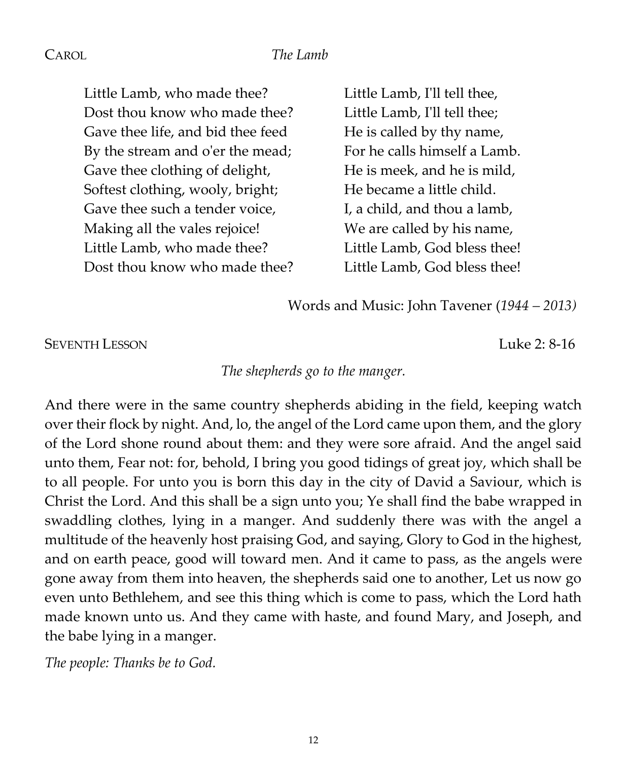Little Lamb, who made thee? Dost thou know who made thee? Gave thee life, and bid thee feed By the stream and o'er the mead; Gave thee clothing of delight, Softest clothing, wooly, bright; Gave thee such a tender voice, Making all the vales rejoice! Little Lamb, who made thee? Dost thou know who made thee?

Little Lamb, I'll tell thee, Little Lamb, I'll tell thee; He is called by thy name, For he calls himself a Lamb. He is meek, and he is mild, He became a little child. I, a child, and thou a lamb, We are called by his name, Little Lamb, God bless thee! Little Lamb, God bless thee!

Words and Music: John Tavener (*1944 – 2013)*

SEVENTH LESSON Luke 2: 8-16

*The shepherds go to the manger.*

And there were in the same country shepherds abiding in the field, keeping watch over their flock by night. And, lo, the angel of the Lord came upon them, and the glory of the Lord shone round about them: and they were sore afraid. And the angel said unto them, Fear not: for, behold, I bring you good tidings of great joy, which shall be to all people. For unto you is born this day in the city of David a Saviour, which is Christ the Lord. And this shall be a sign unto you; Ye shall find the babe wrapped in swaddling clothes, lying in a manger. And suddenly there was with the angel a multitude of the heavenly host praising God, and saying, Glory to God in the highest, and on earth peace, good will toward men. And it came to pass, as the angels were gone away from them into heaven, the shepherds said one to another, Let us now go even unto Bethlehem, and see this thing which is come to pass, which the Lord hath made known unto us. And they came with haste, and found Mary, and Joseph, and the babe lying in a manger.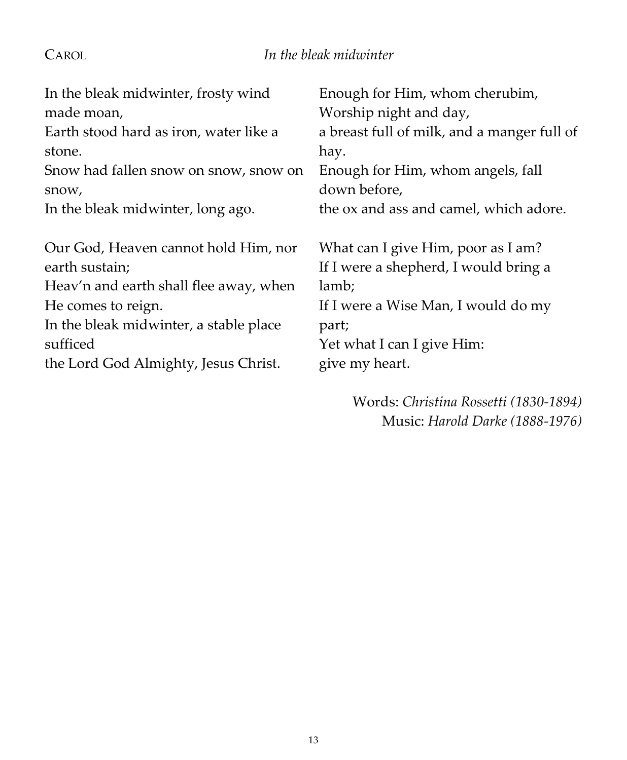### CAROL *In the bleak midwinter*

| In the bleak midwinter, frosty wind    | Enough for Him, whom cherubim,              |
|----------------------------------------|---------------------------------------------|
| made moan,                             | Worship night and day,                      |
| Earth stood hard as iron, water like a | a breast full of milk, and a manger full of |
| stone.                                 | hay.                                        |
| Snow had fallen snow on snow, snow on  | Enough for Him, whom angels, fall           |
| snow,                                  | down before,                                |
| In the bleak midwinter, long ago.      | the ox and ass and camel, which adore.      |
| Our God, Heaven cannot hold Him, nor   | What can I give Him, poor as I am?          |
| earth sustain;                         | If I were a shepherd, I would bring a       |
| Heav'n and earth shall flee away, when | lamb;                                       |
| He comes to reign.                     | If I were a Wise Man, I would do my         |
| In the bleak midwinter, a stable place | part;                                       |
| sufficed                               | Yet what I can I give Him:                  |
| the Lord God Almighty, Jesus Christ.   | give my heart.                              |

Words: *Christina Rossetti (1830-1894)* Music: *Harold Darke (1888-1976)*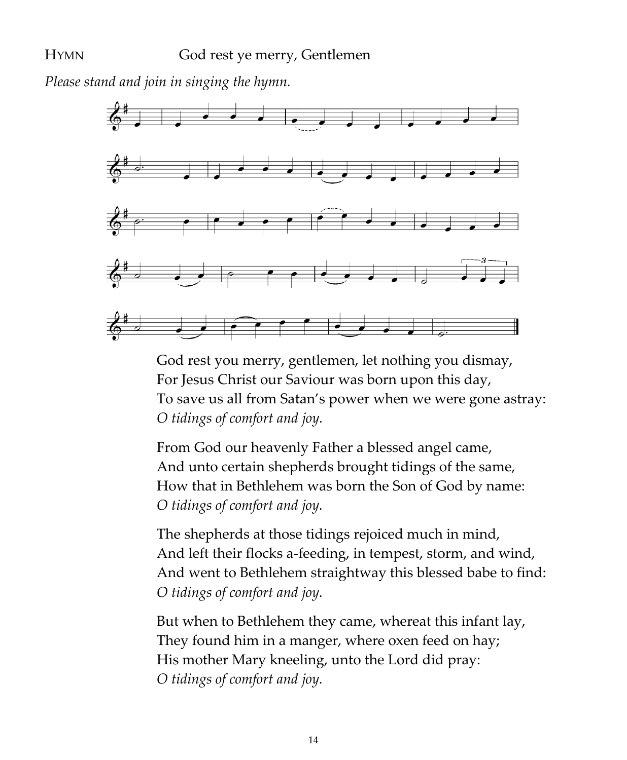*Please stand and join in singing the hymn.*



God rest you merry, gentlemen, let nothing you dismay, For Jesus Christ our Saviour was born upon this day, To save us all from Satan's power when we were gone astray: *O tidings of comfort and joy.*

From God our heavenly Father a blessed angel came, And unto certain shepherds brought tidings of the same, How that in Bethlehem was born the Son of God by name: *O tidings of comfort and joy.*

The shepherds at those tidings rejoiced much in mind, And left their flocks a-feeding, in tempest, storm, and wind, And went to Bethlehem straightway this blessed babe to find: *O tidings of comfort and joy.*

But when to Bethlehem they came, whereat this infant lay, They found him in a manger, where oxen feed on hay; His mother Mary kneeling, unto the Lord did pray: *O tidings of comfort and joy.*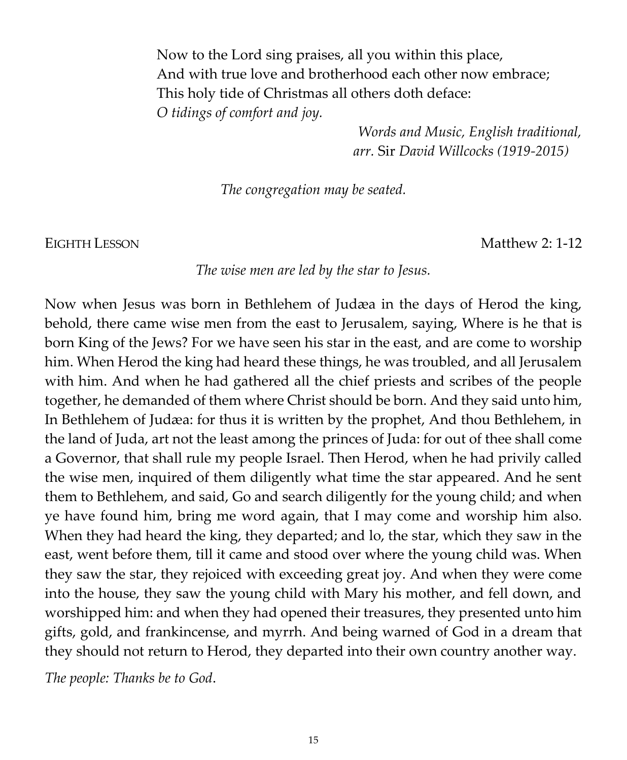Now to the Lord sing praises, all you within this place, And with true love and brotherhood each other now embrace; This holy tide of Christmas all others doth deface: *O tidings of comfort and joy.*

> *Words and Music, English traditional, arr.* Sir *David Willcocks (1919-2015)*

*The congregation may be seated.*

EIGHTH LESSON Matthew 2: 1-12

#### *The wise men are led by the star to Jesus.*

Now when Jesus was born in Bethlehem of Judæa in the days of Herod the king, behold, there came wise men from the east to Jerusalem, saying, Where is he that is born King of the Jews? For we have seen his star in the east, and are come to worship him. When Herod the king had heard these things, he was troubled, and all Jerusalem with him. And when he had gathered all the chief priests and scribes of the people together, he demanded of them where Christ should be born. And they said unto him, In Bethlehem of Judæa: for thus it is written by the prophet, And thou Bethlehem, in the land of Juda, art not the least among the princes of Juda: for out of thee shall come a Governor, that shall rule my people Israel. Then Herod, when he had privily called the wise men, inquired of them diligently what time the star appeared. And he sent them to Bethlehem, and said, Go and search diligently for the young child; and when ye have found him, bring me word again, that I may come and worship him also. When they had heard the king, they departed; and lo, the star, which they saw in the east, went before them, till it came and stood over where the young child was. When they saw the star, they rejoiced with exceeding great joy. And when they were come into the house, they saw the young child with Mary his mother, and fell down, and worshipped him: and when they had opened their treasures, they presented unto him gifts, gold, and frankincense, and myrrh. And being warned of God in a dream that they should not return to Herod, they departed into their own country another way.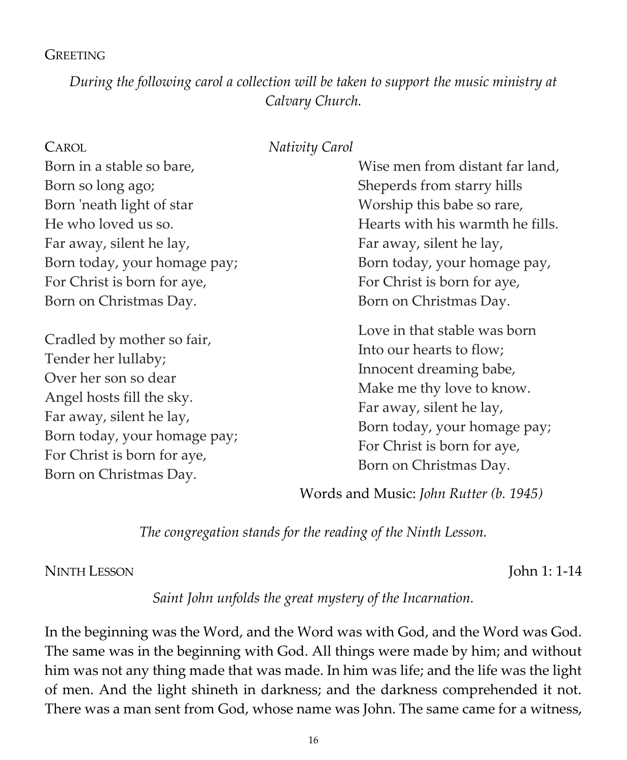#### **GREETING**

*During the following carol a collection will be taken to support the music ministry at Calvary Church.*

*Nativity Carol* 

| Born in a stable so bare,    |
|------------------------------|
| Born so long ago;            |
| Born 'neath light of star    |
| He who loved us so.          |
| Far away, silent he lay,     |
| Born today, your homage pay; |
| For Christ is born for aye,  |
| Born on Christmas Day.       |
|                              |

Cradled by mother so fair, Tender her lullaby; Over her son so dear Angel hosts fill the sky. Far away, silent he lay, Born today, your homage pay; For Christ is born for aye, Born on Christmas Day.

Wise men from distant far land, Sheperds from starry hills Worship this babe so rare, Hearts with his warmth he fills. Far away, silent he lay, Born today, your homage pay, For Christ is born for aye, Born on Christmas Day.

Love in that stable was born Into our hearts to flow; Innocent dreaming babe, Make me thy love to know. Far away, silent he lay, Born today, your homage pay; For Christ is born for aye, Born on Christmas Day.

Words and Music: *John Rutter (b. 1945)*

*The congregation stands for the reading of the Ninth Lesson.*

NINTH LESSON John 1: 1-14

*Saint John unfolds the great mystery of the Incarnation.*

In the beginning was the Word, and the Word was with God, and the Word was God. The same was in the beginning with God. All things were made by him; and without him was not any thing made that was made. In him was life; and the life was the light of men. And the light shineth in darkness; and the darkness comprehended it not. There was a man sent from God, whose name was John. The same came for a witness,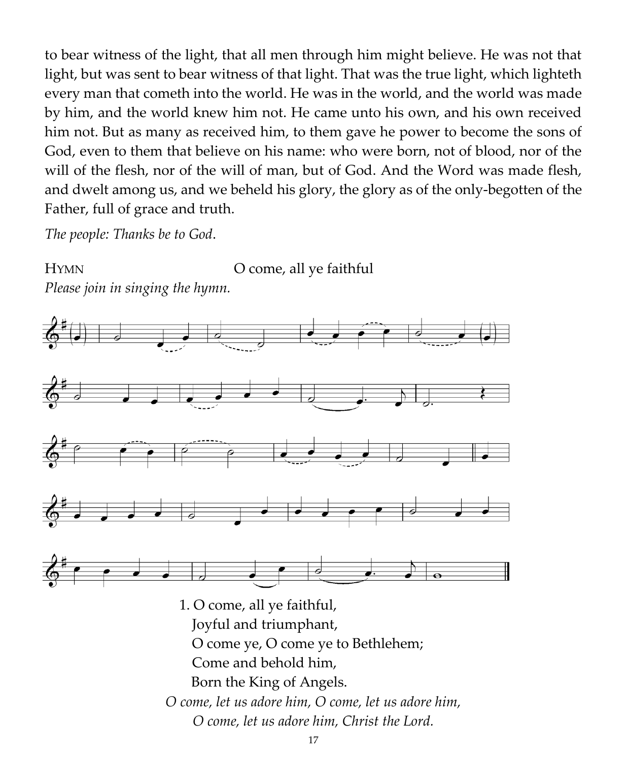to bear witness of the light, that all men through him might believe. He was not that light, but was sent to bear witness of that light. That was the true light, which lighteth every man that cometh into the world. He was in the world, and the world was made by him, and the world knew him not. He came unto his own, and his own received him not. But as many as received him, to them gave he power to become the sons of God, even to them that believe on his name: who were born, not of blood, nor of the will of the flesh, nor of the will of man, but of God. And the Word was made flesh, and dwelt among us, and we beheld his glory, the glory as of the only-begotten of the Father, full of grace and truth.

*The people: Thanks be to God*.

HYMN O come, all ye faithful *Please join in singing the hymn.*  $\overline{\bullet}$  1. O come, all ye faithful, Joyful and triumphant, O come ye, O come ye to Bethlehem; Come and behold him, Born the King of Angels. *O come, let us adore him, O come, let us adore him,*

> 17 *O come, let us adore him, Christ the Lord.*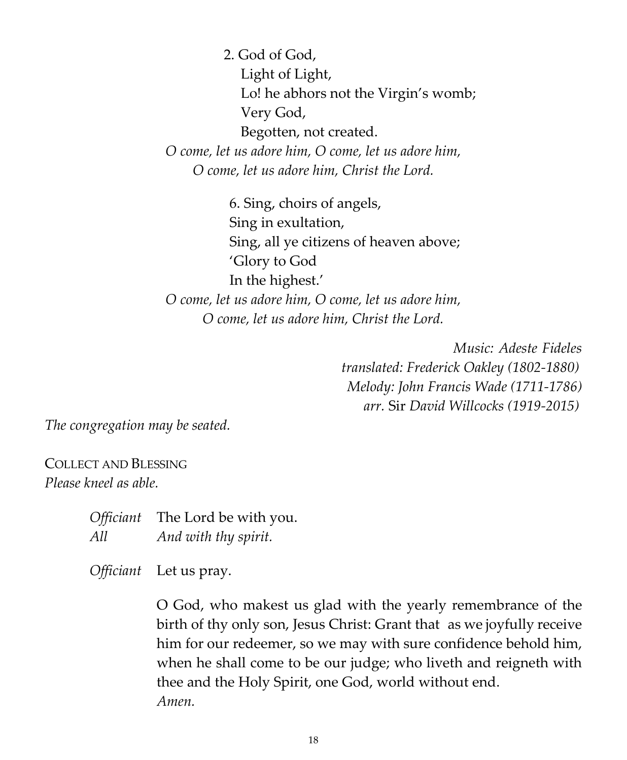2. God of God, Light of Light, Lo! he abhors not the Virgin's womb; Very God, Begotten, not created. *O come, let us adore him, O come, let us adore him, O come, let us adore him, Christ the Lord.*

6. Sing, choirs of angels, Sing in exultation, Sing, all ye citizens of heaven above; 'Glory to God In the highest.' *O come, let us adore him, O come, let us adore him,*

*O come, let us adore him, Christ the Lord.*

*Music: Adeste Fideles translated: Frederick Oakley (1802-1880) Melody: John Francis Wade (1711-1786) arr.* Sir *David Willcocks (1919-2015)*

*The congregation may be seated.*

COLLECT AND BLESSING *Please kneel as able.*

> *Officiant* The Lord be with you. *All And with thy spirit.*

*Officiant* Let us pray.

O God, who makest us glad with the yearly remembrance of the birth of thy only son, Jesus Christ: Grant that as we joyfully receive him for our redeemer, so we may with sure confidence behold him, when he shall come to be our judge; who liveth and reigneth with thee and the Holy Spirit, one God, world without end. *Amen.*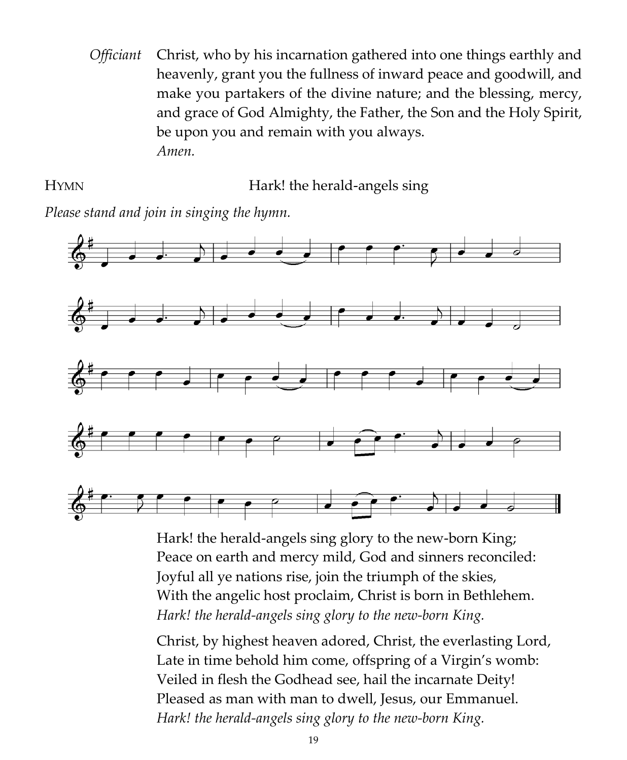*Officiant* Christ, who by his incarnation gathered into one things earthly and heavenly, grant you the fullness of inward peace and goodwill, and make you partakers of the divine nature; and the blessing, mercy, and grace of God Almighty, the Father, the Son and the Holy Spirit, be upon you and remain with you always. *Amen.*



*Please stand and join in singing the hymn.*



Hark! the herald-angels sing glory to the new-born King; Peace on earth and mercy mild, God and sinners reconciled: Joyful all ye nations rise, join the triumph of the skies, With the angelic host proclaim, Christ is born in Bethlehem. *Hark! the herald-angels sing glory to the new-born King.*

Christ, by highest heaven adored, Christ, the everlasting Lord, Late in time behold him come, offspring of a Virgin's womb: Veiled in flesh the Godhead see, hail the incarnate Deity! Pleased as man with man to dwell, Jesus, our Emmanuel. *Hark! the herald-angels sing glory to the new-born King.*